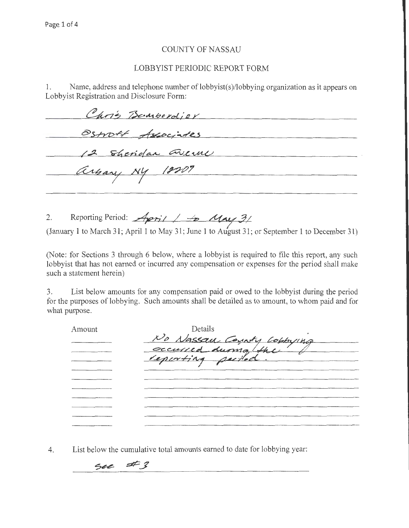## COUNTY OF NASSAU

## LOBBYIST PERIODIC REPORT FORM

1. Name, address and telephone number of lobbyist(s)/lobbying organization as it appears on Lobbyist Registration and Disclosure Form:

| Chris Banberdjer   |
|--------------------|
| Ostroff Associates |
| 12 Sheridan Greene |
| arbary NY 18201    |
|                    |

2. Reporting Period:  $A$ *pril | + May* 3/

(January 1 to March 31; April 1 to May 31; June 1 to August 31; or September 1 to December 31)

(Note: for Sections 3 through 6 below, where a lobbyist is required to file this report, any such lobbyist that has not earned or incurred any compensation or expenses for the period shall make such a statement herein)

3. List below amounts for any compensation paid or owed to the lobbyist during the period for the purposes of lobbying. Such amounts shall be detailed as to amount, to whom paid and for what purpose.

| Amount | Details                   |
|--------|---------------------------|
|        | No Nassau County Lobbying |
|        |                           |
|        |                           |
|        |                           |
|        |                           |
|        |                           |
|        |                           |
|        |                           |
|        |                           |
|        |                           |

4. List below the cumulative total amounts earned to date for lobbying year:

 $sec$  #3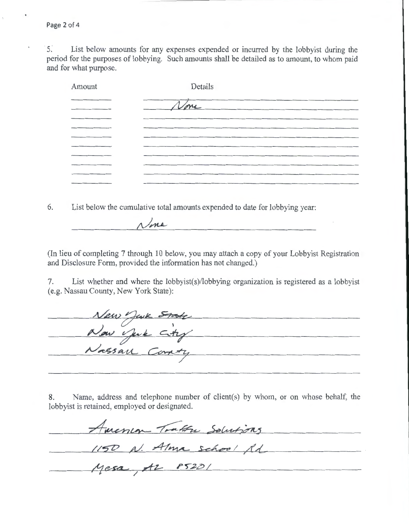Page 2 of 4

5. List below amounts for any expenses expended or incurred by the lobbyist during the period for the purposes of lobbying. Such amounts shall be detailed as to amount, to whom paid and for what purpose.

| Amount | Details |
|--------|---------|
|        |         |
|        | None    |
|        |         |
|        |         |
|        |         |
|        |         |
|        |         |
|        |         |
|        |         |
|        |         |

6. List below the cumulative total amounts expended to date for lobbying year:

None

(In lieu of completing 7 through 10 below, you may attach a copy of your Lobbyist Registration and Disclosure Form, provided the information has not changed.)

7. List whether and where the lobbyist(s)/lobbying organization is registered as a lobbyist (e.g. Nassau County, New York State):

New York State<br>Now York City<br>Nassau Coraty

8. Name, address and telephone number of client(s) by whom, or on whose behalf, the lobbyist is retained, employed or designated.

America Tratta Solutions  $1150 N. A Ima$  school fl<br>Mesa, Az  $85201$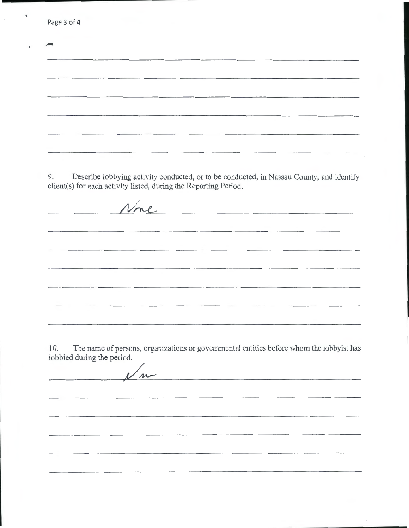|    | Page 3 of 4                                                                                                                                                  |
|----|--------------------------------------------------------------------------------------------------------------------------------------------------------------|
|    |                                                                                                                                                              |
|    |                                                                                                                                                              |
|    |                                                                                                                                                              |
|    |                                                                                                                                                              |
|    |                                                                                                                                                              |
|    |                                                                                                                                                              |
|    |                                                                                                                                                              |
|    |                                                                                                                                                              |
| 9. | Describe lobbying activity conducted, or to be conducted, in Nassau County, and identify<br>client(s) for each activity listed, during the Reporting Period. |
|    | None                                                                                                                                                         |
|    |                                                                                                                                                              |
|    |                                                                                                                                                              |
|    |                                                                                                                                                              |
|    |                                                                                                                                                              |
|    |                                                                                                                                                              |

 $\ddot{\phantom{0}}$ 

10. The name of persons, organizations or governmental entities before whom the lobbyist has lobbied during the period.

<u> 1989 - Jan Ludwig Harry Maria (h. 1989).</u>